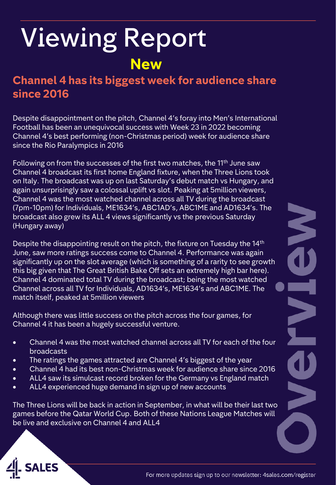## Viewing Report **New**

#### **Channel 4 has its biggest week for audience share since 2016**

Despite disappointment on the pitch, Channel 4's foray into Men's International Football has been an unequivocal success with Week 23 in 2022 becoming Channel 4's best performing (non-Christmas period) week for audience share since the Rio Paralympics in 2016

Following on from the successes of the first two matches, the 11<sup>th</sup> June saw Channel 4 broadcast its first home England fixture, when the Three Lions took on Italy. The broadcast was up on last Saturday's debut match vs Hungary, and again unsurprisingly saw a colossal uplift vs slot. Peaking at 5million viewers, Channel 4 was the most watched channel across all TV during the broadcast (7pm-10pm) for Individuals, ME1634's, ABC1AD's, ABC1ME and AD1634's. The broadcast also grew its ALL 4 views significantly vs the previous Saturday (Hungary away)

Despite the disappointing result on the pitch, the fixture on Tuesday the 14<sup>th</sup> June, saw more ratings success come to Channel 4. Performance was again significantly up on the slot average (which is something of a rarity to see growth this big given that The Great British Bake Off sets an extremely high bar here). Channel 4 dominated total TV during the broadcast; being the most watched Channel across all TV for Individuals, AD1634's, ME1634's and ABC1ME. The match itself, peaked at 5million viewers

Although there was little success on the pitch across the four games, for Channel 4 it has been a hugely successful venture.

- Channel 4 was the most watched channel across all TV for each of the four broadcasts
- The ratings the games attracted are Channel 4's biggest of the year
- Channel 4 had its best non-Christmas week for audience share since 2016
- ALL4 saw its simulcast record broken for the Germany vs England match
- ALL4 experienced huge demand in sign up of new accounts

The Three Lions will be back in action in September, in what will be their last two games before the Qatar World Cup. Both of these Nations League Matches will be live and exclusive on Channel 4 and ALL4

N CO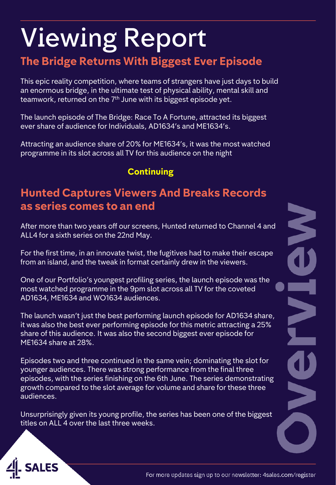#### **The Bridge Returns With Biggest Ever Episode**

This epic reality competition, where teams of strangers have just days to build an enormous bridge, in the ultimate test of physical ability, mental skill and teamwork, returned on the 7<sup>th</sup> June with its biggest episode yet.

The launch episode of The Bridge: Race To A Fortune, attracted its biggest ever share of audience for Individuals, AD1634's and ME1634's.

Attracting an audience share of 20% for ME1634's, it was the most watched programme in its slot across all TV for this audience on the night

#### **Continuing**

#### **Hunted Captures Viewers And Breaks Records as series comes to an end**

After more than two years off our screens, Hunted returned to Channel 4 and ALL4 for a sixth series on the 22nd May.

For the first time, in an innovate twist, the fugitives had to make their escape from an island, and the tweak in format certainly drew in the viewers.

One of our Portfolio's youngest profiling series, the launch episode was the most watched programme in the 9pm slot across all TV for the coveted AD1634, ME1634 and WO1634 audiences.

The launch wasn't just the best performing launch episode for AD1634 share, it was also the best ever performing episode for this metric attracting a 25% share of this audience. It was also the second biggest ever episode for ME1634 share at 28%.

Episodes two and three continued in the same vein; dominating the slot for younger audiences. There was strong performance from the final three episodes, with the series finishing on the 6th June. The series demonstrating growth compared to the slot average for volume and share for these three audiences.

Unsurprisingly given its young profile, the series has been one of the biggest titles on ALL 4 over the last three weeks.



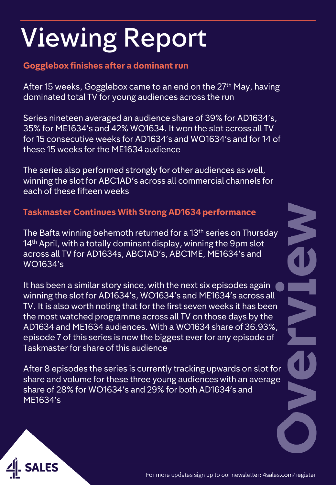#### **Gogglebox finishes after a dominant run**

After 15 weeks, Gogglebox came to an end on the 27<sup>th</sup> May, having dominated total TV for young audiences across the run

Series nineteen averaged an audience share of 39% for AD1634's, 35% for ME1634's and 42% WO1634. It won the slot across all TV for 15 consecutive weeks for AD1634's and WO1634's and for 14 of these 15 weeks for the ME1634 audience

The series also performed strongly for other audiences as well, winning the slot for ABC1AD's across all commercial channels for each of these fifteen weeks

#### **Taskmaster Continues With Strong AD1634 performance**

The Bafta winning behemoth returned for a 13th series on Thursday 14<sup>th</sup> April, with a totally dominant display, winning the 9pm slot across all TV for AD1634s, ABC1AD's, ABC1ME, ME1634's and WO1634's

It has been a similar story since, with the next six episodes again winning the slot for AD1634's, WO1634's and ME1634's across all TV. It is also worth noting that for the first seven weeks it has been the most watched programme across all TV on those days by the AD1634 and ME1634 audiences. With a WO1634 share of 36.93%, episode 7 of this series is now the biggest ever for any episode of Taskmaster for share of this audience

After 8 episodes the series is currently tracking upwards on slot for share and volume for these three young audiences with an average share of 28% for WO1634's and 29% for both AD1634's and ME1634's

**NAS** 

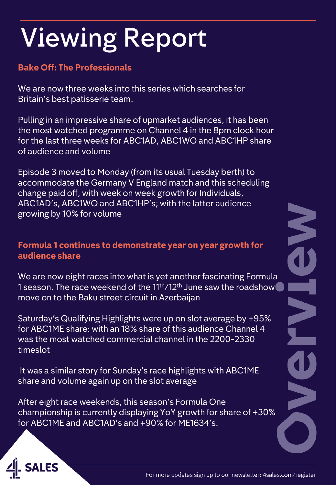#### **Bake Off: The Professionals**

We are now three weeks into this series which searches for Britain's best patisserie team.

Pulling in an impressive share of upmarket audiences, it has been the most watched programme on Channel 4 in the 8pm clock hour for the last three weeks for ABC1AD, ABC1WO and ABC1HP share of audience and volume

Episode 3 moved to Monday (from its usual Tuesday berth) to accommodate the Germany V England match and this scheduling change paid off, with week on week growth for Individuals, ABC1AD's, ABC1WO and ABC1HP's; with the latter audience growing by 10% for volume

#### **Formula 1 continues to demonstrate year on year growth for audience share**

We are now eight races into what is yet another fascinating Formula 1 season. The race weekend of the 11<sup>th</sup>/12<sup>th</sup> June saw the roadshow move on to the Baku street circuit in Azerbaijan

Saturday's Qualifying Highlights were up on slot average by +95% for ABC1ME share: with an 18% share of this audience Channel 4 was the most watched commercial channel in the 2200-2330 timeslot

It was a similar story for Sunday's race highlights with ABC1ME share and volume again up on the slot average

After eight race weekends, this season's Formula One championship is currently displaying YoY growth for share of +30% for ABC1ME and ABC1AD's and +90% for ME1634's.



NCT OF

 $\overline{\mathbf{1}}$ 

N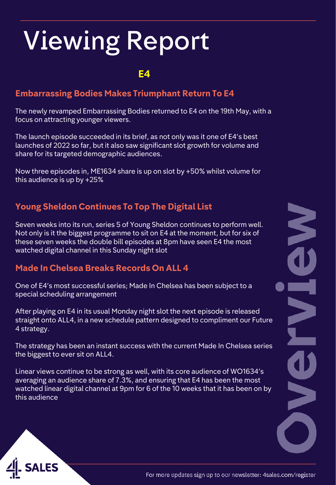#### **E4**

#### **Embarrassing Bodies Makes Triumphant Return To E4**

The newly revamped Embarrassing Bodies returned to E4 on the 19th May, with a focus on attracting younger viewers.

The launch episode succeeded in its brief, as not only was it one of E4's best launches of 2022 so far, but it also saw significant slot growth for volume and share for its targeted demographic audiences.

Now three episodes in, ME1634 share is up on slot by +50% whilst volume for this audience is up by +25%

#### **Young Sheldon Continues To Top The Digital List**

Seven weeks into its run, series 5 of Young Sheldon continues to perform well. Not only is it the biggest programme to sit on E4 at the moment, but for six of these seven weeks the double bill episodes at 8pm have seen E4 the most watched digital channel in this Sunday night slot

#### **Made In Chelsea Breaks Records On ALL 4**

One of E4's most successful series; Made In Chelsea has been subject to a special scheduling arrangement

After playing on E4 in its usual Monday night slot the next episode is released straight onto ALL4, in a new schedule pattern designed to compliment our Future 4 strategy.

The strategy has been an instant success with the current Made In Chelsea series the biggest to ever sit on ALL4.

Linear views continue to be strong as well, with its core audience of WO1634's averaging an audience share of 7.3%, and ensuring that E4 has been the most watched linear digital channel at 9pm for 6 of the 10 weeks that it has been on by this audience

N C DNC

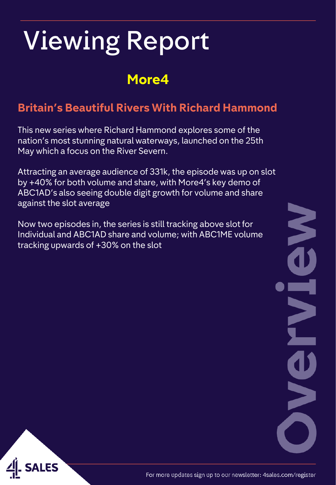### **More4**

#### **Britain's Beautiful Rivers With Richard Hammond**

This new series where Richard Hammond explores some of the nation's most stunning natural waterways, launched on the 25th May which a focus on the River Severn.

Attracting an average audience of 331k, the episode was up on slot by +40% for both volume and share, with More4's key demo of ABC1AD's also seeing double digit growth for volume and share against the slot average

Now two episodes in, the series is still tracking above slot for Individual and ABC1AD share and volume; with ABC1ME volume tracking upwards of +30% on the slot

NAC E **MC** 

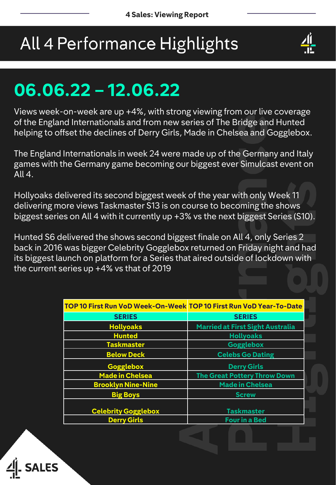### All 4 Performance Highlights



### **06.06.22 – 12.06.22**

Views week-on-week are up +4%, with strong viewing from our live coverage of the England Internationals and from new series of The Bridge and Hunted helping to offset the declines of Derry Girls, Made in Chelsea and Gogglebox.

The England Internationals in week 24 were made up of the Germany and Italy games with the Germany game becoming our biggest ever Simulcast event on All 4.

Hollyoaks delivered its second biggest week of the year with only Week 11 delivering more views Taskmaster S13 is on course to becoming the shows biggest series on All 4 with it currently up +3% vs the next biggest Series (S10).

Hunted S6 delivered the shows second biggest finale on All 4, only Series 2 back in 2016 was bigger Celebrity Gogglebox returned on Friday night and had its biggest launch on platform for a Series that aired outside of lockdown with the current series up +4% vs that of 2019

| TOP 10 First Run VoD Week-On-Week TOP 10 First Run VoD Year-To-Date |                                         |
|---------------------------------------------------------------------|-----------------------------------------|
| <b>SERIES</b>                                                       | <b>SERIES</b>                           |
| <b>Hollyoaks</b>                                                    | <b>Married at First Sight Australia</b> |
| <b>Hunted</b>                                                       | <b>Hollyoaks</b>                        |
| <b>Taskmaster</b>                                                   | <b>Gogglebox</b>                        |
| <b>Below Deck</b>                                                   | <b>Celebs Go Dating</b>                 |
| Gogglebox                                                           | <b>Derry Girls</b>                      |
| <b>Made in Chelsea</b>                                              | <b>The Great Pottery Throw Down</b>     |
| <b>Brooklyn Nine-Nine</b>                                           | <b>Made in Chelsea</b>                  |
| <b>Big Boys</b>                                                     | <b>Screw</b>                            |
|                                                                     |                                         |
| <b>Celebrity Gogglebox</b>                                          | <b>Taskmaster</b>                       |
| <b>Derry Girls</b>                                                  | <b>Four in a Bed</b>                    |